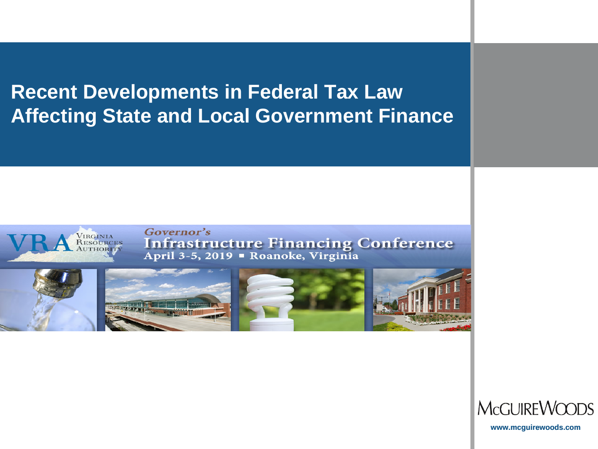**Recent Developments in Federal Tax Law Affecting State and Local Government Finance**



Governor's Infrastructure Financing Conference<br>April 3-5, 2019 • Roanoke, Virginia





**www.mcguirewoods.com**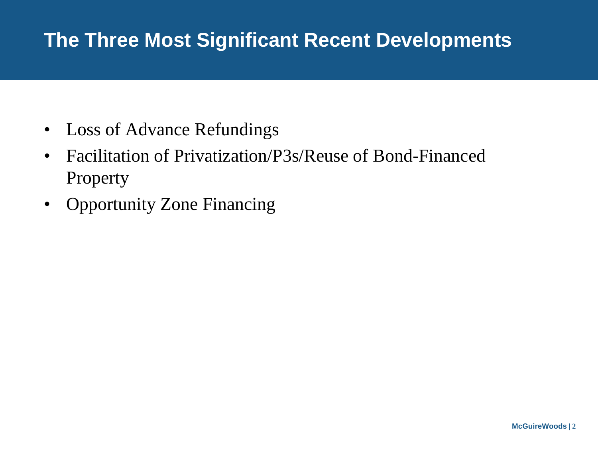# **The Three Most Significant Recent Developments**

- Loss of Advance Refundings
- Facilitation of Privatization/P3s/Reuse of Bond-Financed Property
- Opportunity Zone Financing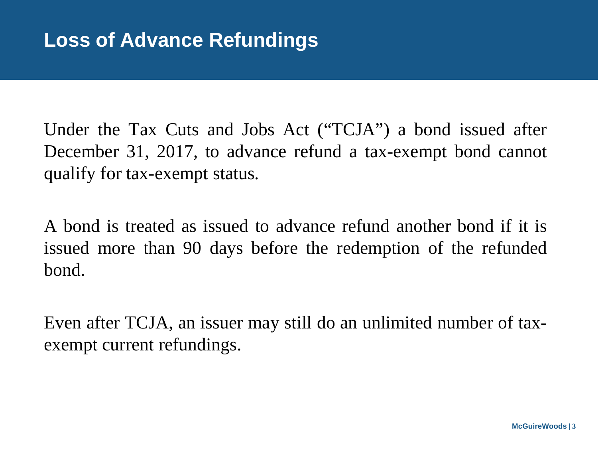Under the Tax Cuts and Jobs Act ("TCJA") a bond issued after December 31, 2017, to advance refund a tax-exempt bond cannot qualify for tax-exempt status.

A bond is treated as issued to advance refund another bond if it is issued more than 90 days before the redemption of the refunded bond.

Even after TCJA, an issuer may still do an unlimited number of taxexempt current refundings.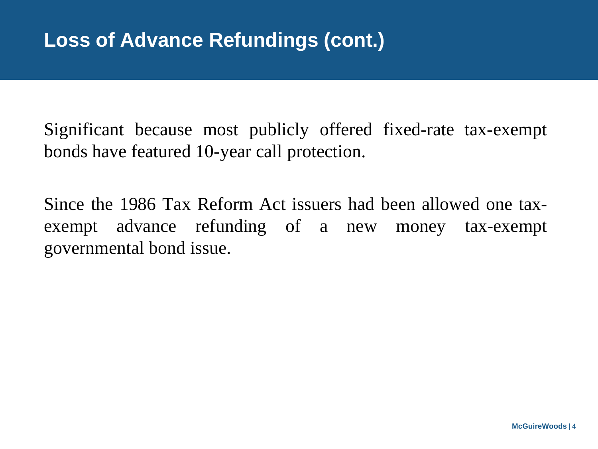Significant because most publicly offered fixed-rate tax-exempt bonds have featured 10-year call protection.

Since the 1986 Tax Reform Act issuers had been allowed one taxexempt advance refunding of a new money tax-exempt governmental bond issue.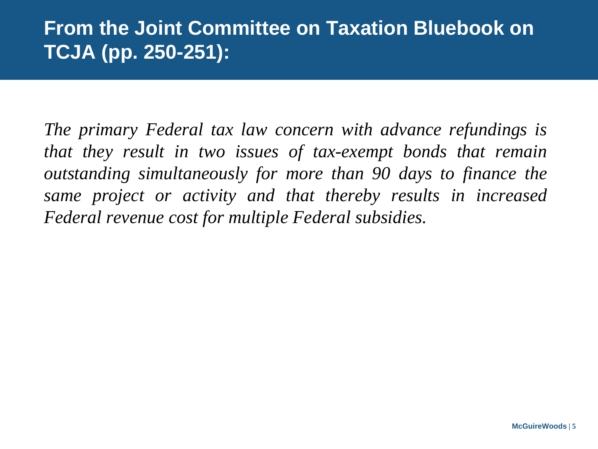### **From the Joint Committee on Taxation Bluebook on TCJA (pp. 250-251):**

*The primary Federal tax law concern with advance refundings is that they result in two issues of tax-exempt bonds that remain outstanding simultaneously for more than 90 days to finance the same project or activity and that thereby results in increased Federal revenue cost for multiple Federal subsidies.*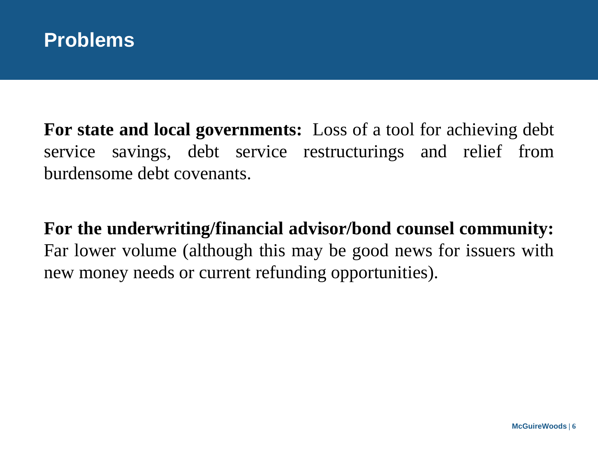

**For state and local governments:** Loss of a tool for achieving debt service savings, debt service restructurings and relief from burdensome debt covenants.

**For the underwriting/financial advisor/bond counsel community:** Far lower volume (although this may be good news for issuers with new money needs or current refunding opportunities).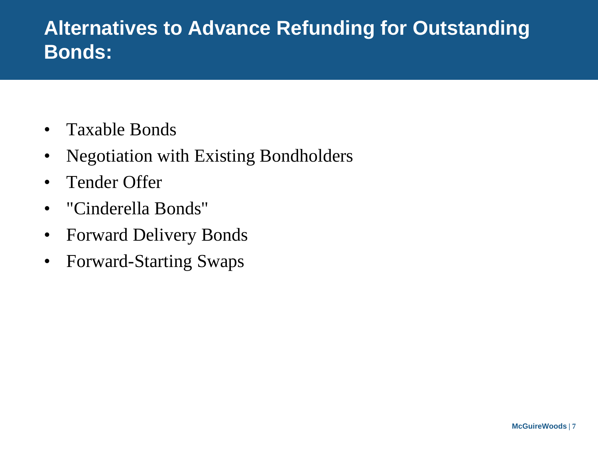### **Alternatives to Advance Refunding for Outstanding Bonds:**

- Taxable Bonds
- Negotiation with Existing Bondholders
- Tender Offer
- "Cinderella Bonds"
- Forward Delivery Bonds
- Forward-Starting Swaps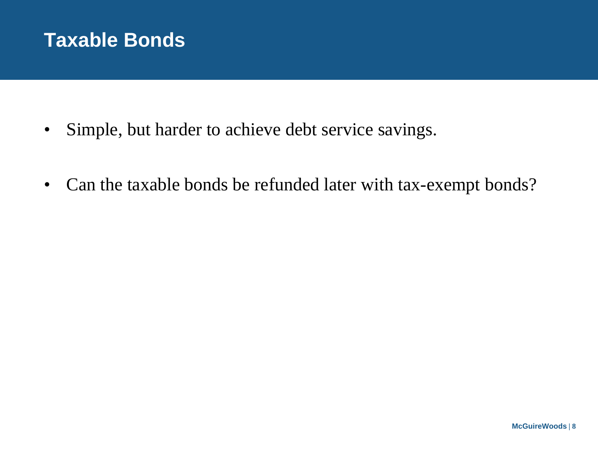#### **Taxable Bonds**

- Simple, but harder to achieve debt service savings.
- Can the taxable bonds be refunded later with tax-exempt bonds?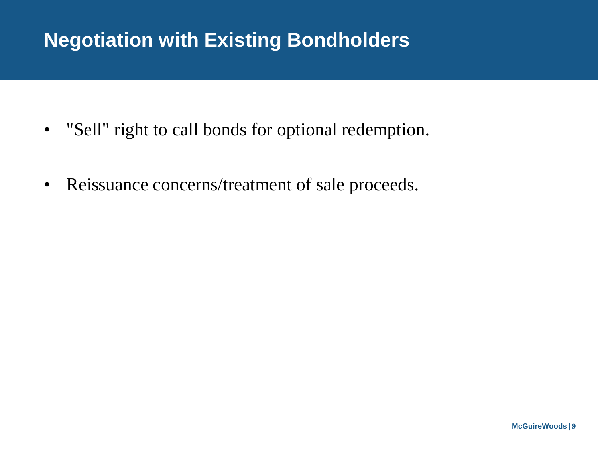# **Negotiation with Existing Bondholders**

- "Sell" right to call bonds for optional redemption.
- Reissuance concerns/treatment of sale proceeds.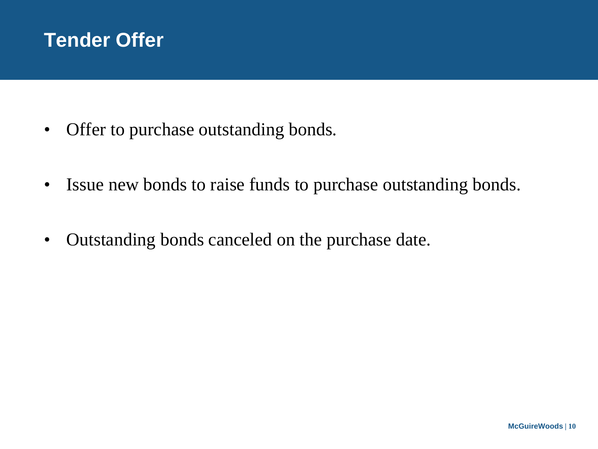

- Offer to purchase outstanding bonds.
- Issue new bonds to raise funds to purchase outstanding bonds.
- Outstanding bonds canceled on the purchase date.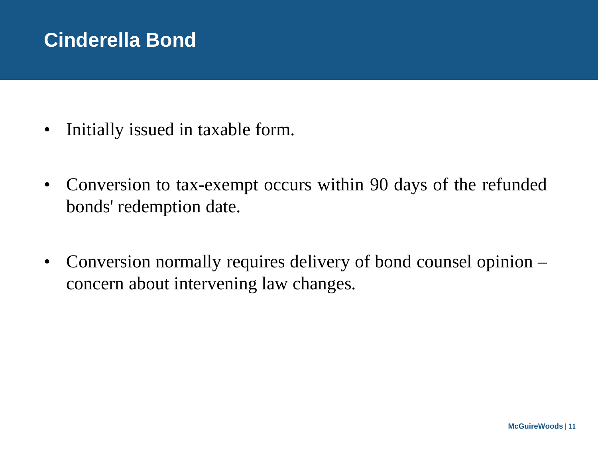# **Cinderella Bond**

- Initially issued in taxable form.
- Conversion to tax-exempt occurs within 90 days of the refunded bonds' redemption date.
- Conversion normally requires delivery of bond counsel opinion concern about intervening law changes.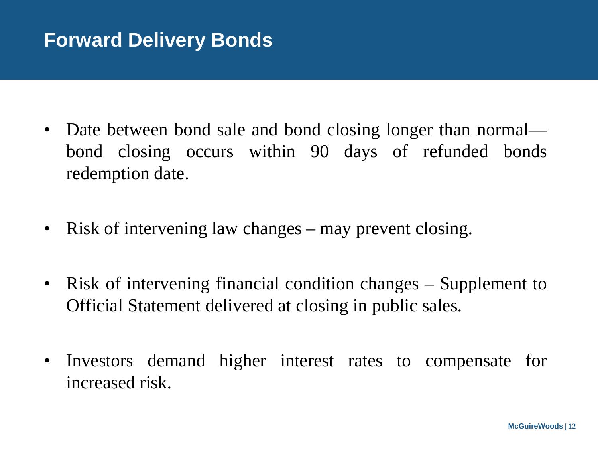### **Forward Delivery Bonds**

- Date between bond sale and bond closing longer than normal bond closing occurs within 90 days of refunded bonds redemption date.
- Risk of intervening law changes may prevent closing.
- Risk of intervening financial condition changes Supplement to Official Statement delivered at closing in public sales.
- Investors demand higher interest rates to compensate for increased risk.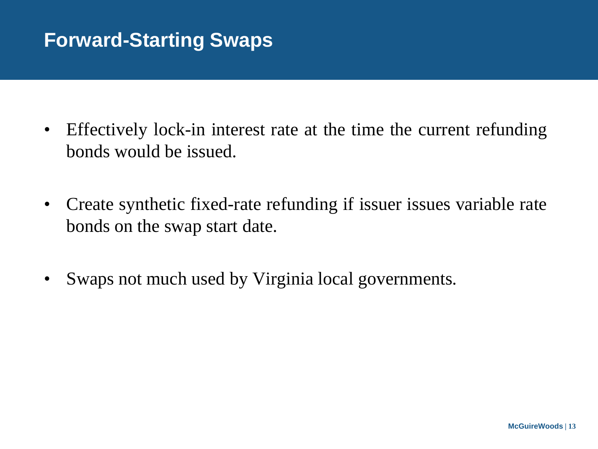# **Forward-Starting Swaps**

- Effectively lock-in interest rate at the time the current refunding bonds would be issued.
- Create synthetic fixed-rate refunding if issuer issues variable rate bonds on the swap start date.
- Swaps not much used by Virginia local governments.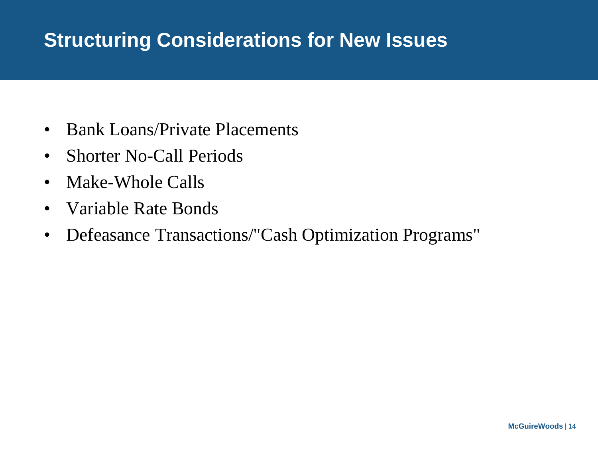### **Structuring Considerations for New Issues**

- Bank Loans/Private Placements
- Shorter No-Call Periods
- Make-Whole Calls
- Variable Rate Bonds
- Defeasance Transactions/"Cash Optimization Programs"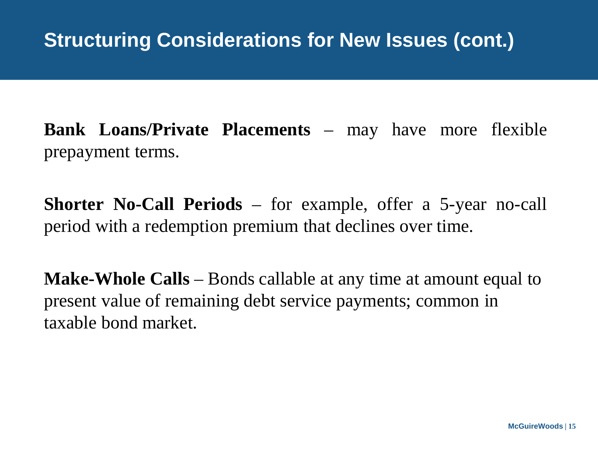**Bank Loans/Private Placements** – may have more flexible prepayment terms.

**Shorter No-Call Periods** – for example, offer a 5-year no-call period with a redemption premium that declines over time.

**Make-Whole Calls** – Bonds callable at any time at amount equal to present value of remaining debt service payments; common in taxable bond market.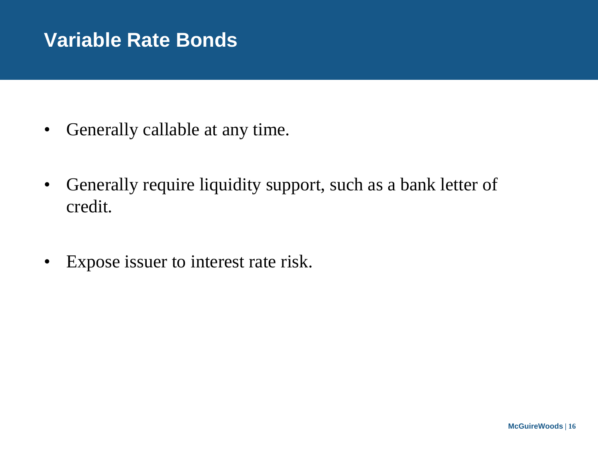### **Variable Rate Bonds**

- Generally callable at any time.
- Generally require liquidity support, such as a bank letter of credit.
- Expose issuer to interest rate risk.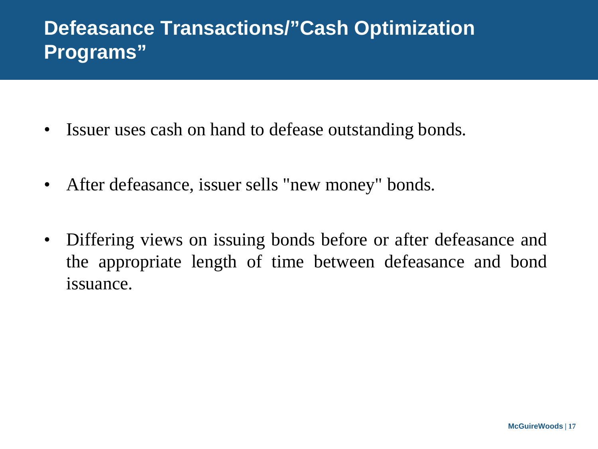### **Defeasance Transactions/"Cash Optimization Programs"**

- Issuer uses cash on hand to defease outstanding bonds.
- After defeasance, issuer sells "new money" bonds.
- Differing views on issuing bonds before or after defeasance and the appropriate length of time between defeasance and bond issuance.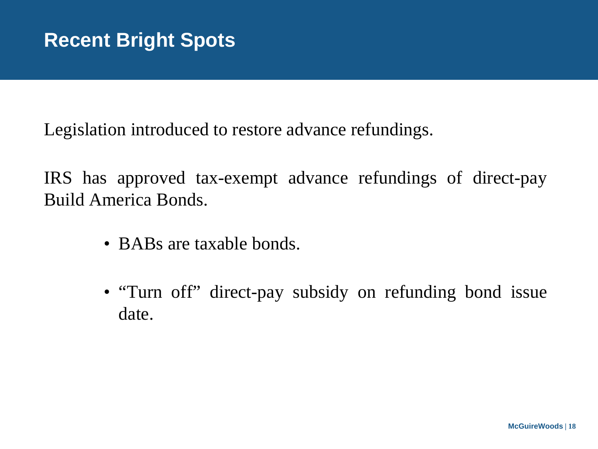Legislation introduced to restore advance refundings.

IRS has approved tax-exempt advance refundings of direct-pay Build America Bonds.

- BABs are taxable bonds.
- "Turn off" direct-pay subsidy on refunding bond issue date.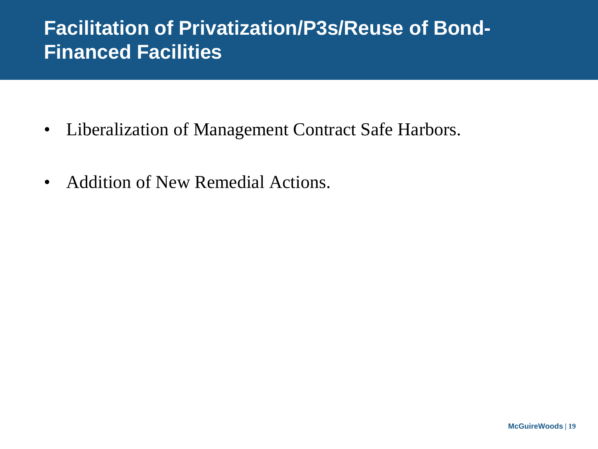### **Facilitation of Privatization/P3s/Reuse of Bond-Financed Facilities**

- Liberalization of Management Contract Safe Harbors.
- Addition of New Remedial Actions.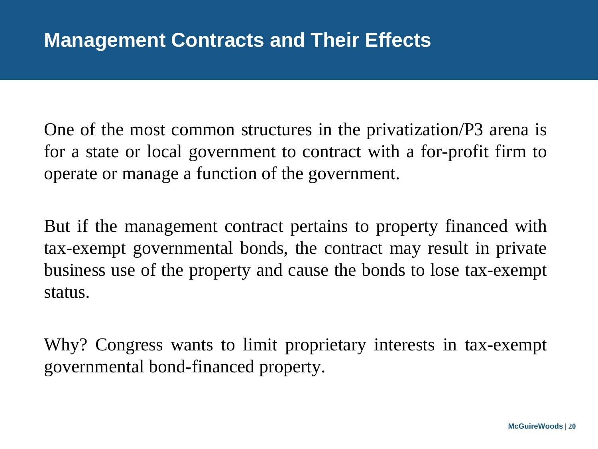One of the most common structures in the privatization/P3 arena is for a state or local government to contract with a for-profit firm to operate or manage a function of the government.

But if the management contract pertains to property financed with tax-exempt governmental bonds, the contract may result in private business use of the property and cause the bonds to lose tax-exempt status.

Why? Congress wants to limit proprietary interests in tax-exempt governmental bond-financed property.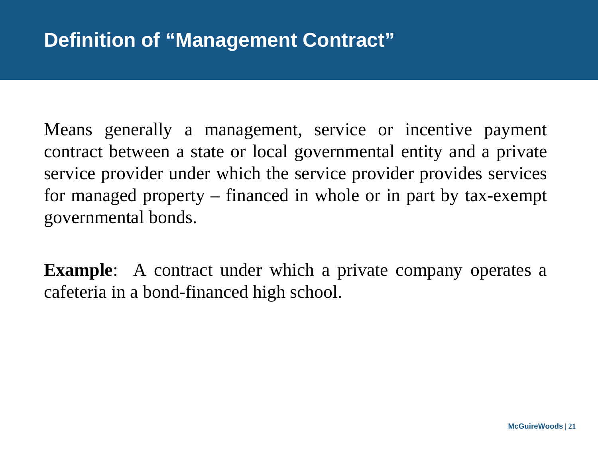Means generally a management, service or incentive payment contract between a state or local governmental entity and a private service provider under which the service provider provides services for managed property – financed in whole or in part by tax-exempt governmental bonds.

**Example**: A contract under which a private company operates a cafeteria in a bond-financed high school.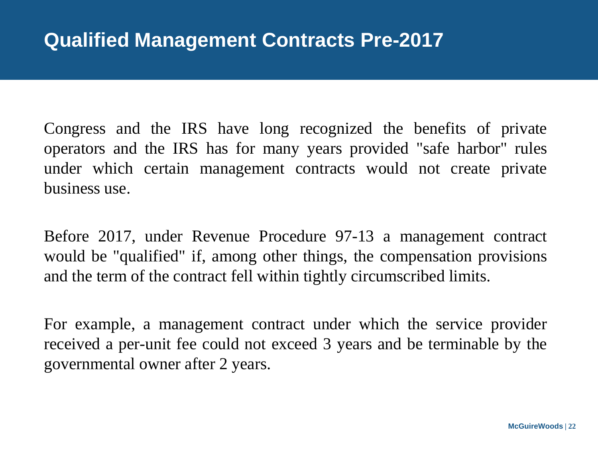Congress and the IRS have long recognized the benefits of private operators and the IRS has for many years provided "safe harbor" rules under which certain management contracts would not create private business use.

Before 2017, under Revenue Procedure 97-13 a management contract would be "qualified" if, among other things, the compensation provisions and the term of the contract fell within tightly circumscribed limits.

For example, a management contract under which the service provider received a per-unit fee could not exceed 3 years and be terminable by the governmental owner after 2 years.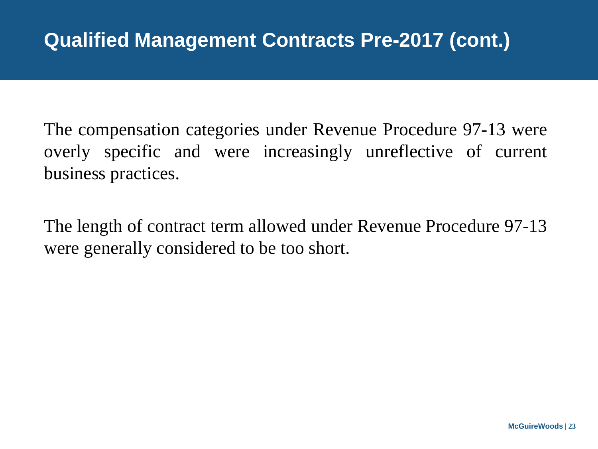The compensation categories under Revenue Procedure 97-13 were overly specific and were increasingly unreflective of current business practices.

The length of contract term allowed under Revenue Procedure 97-13 were generally considered to be too short.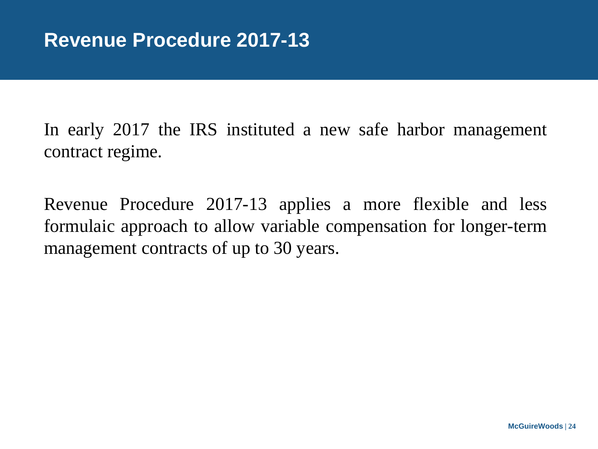In early 2017 the IRS instituted a new safe harbor management contract regime.

Revenue Procedure 2017-13 applies a more flexible and less formulaic approach to allow variable compensation for longer-term management contracts of up to 30 years.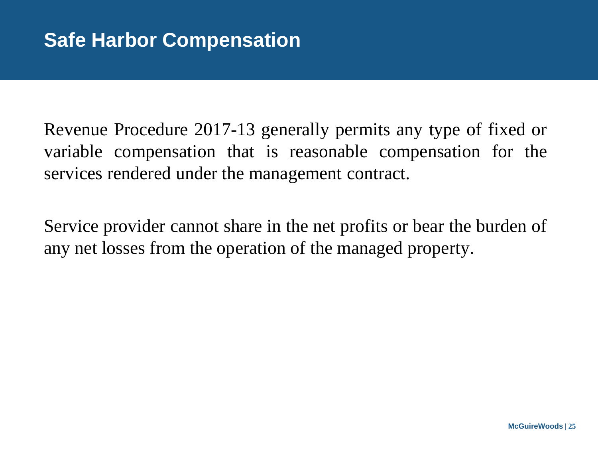Revenue Procedure 2017-13 generally permits any type of fixed or variable compensation that is reasonable compensation for the services rendered under the management contract.

Service provider cannot share in the net profits or bear the burden of any net losses from the operation of the managed property.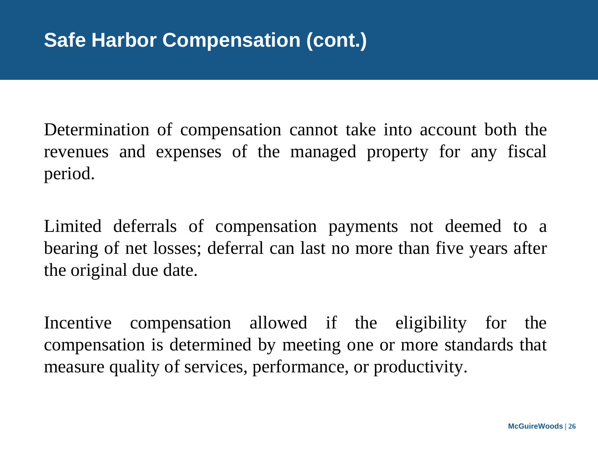Determination of compensation cannot take into account both the revenues and expenses of the managed property for any fiscal period.

Limited deferrals of compensation payments not deemed to a bearing of net losses; deferral can last no more than five years after the original due date.

Incentive compensation allowed if the eligibility for the compensation is determined by meeting one or more standards that measure quality of services, performance, or productivity.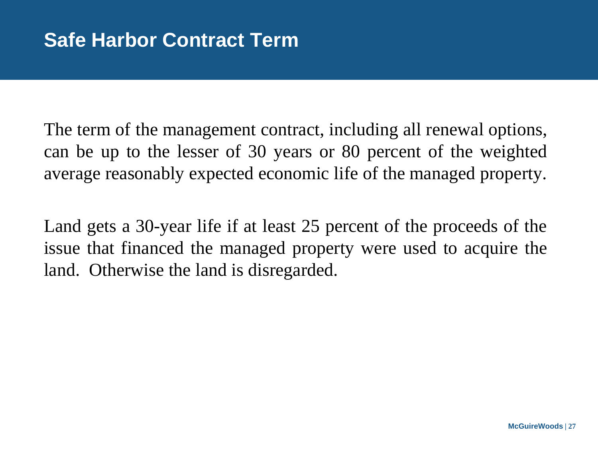The term of the management contract, including all renewal options, can be up to the lesser of 30 years or 80 percent of the weighted average reasonably expected economic life of the managed property.

Land gets a 30-year life if at least 25 percent of the proceeds of the issue that financed the managed property were used to acquire the land. Otherwise the land is disregarded.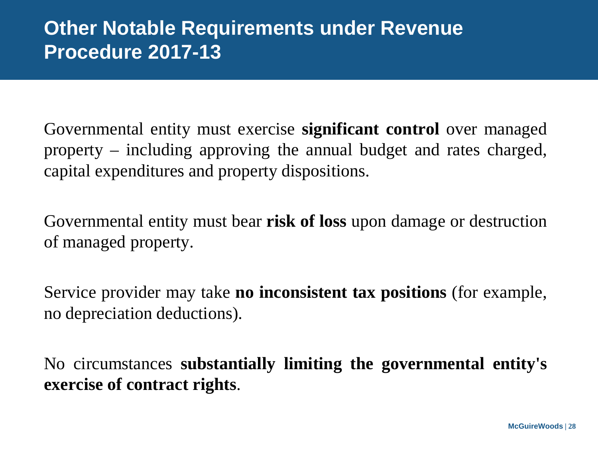### **Other Notable Requirements under Revenue Procedure 2017-13**

Governmental entity must exercise **significant control** over managed property – including approving the annual budget and rates charged, capital expenditures and property dispositions.

Governmental entity must bear **risk of loss** upon damage or destruction of managed property.

Service provider may take **no inconsistent tax positions** (for example, no depreciation deductions).

No circumstances **substantially limiting the governmental entity's exercise of contract rights**.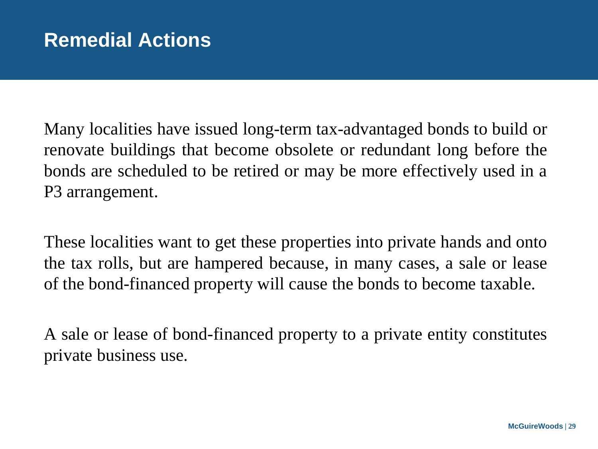Many localities have issued long-term tax-advantaged bonds to build or renovate buildings that become obsolete or redundant long before the bonds are scheduled to be retired or may be more effectively used in a P3 arrangement.

These localities want to get these properties into private hands and onto the tax rolls, but are hampered because, in many cases, a sale or lease of the bond-financed property will cause the bonds to become taxable.

A sale or lease of bond-financed property to a private entity constitutes private business use.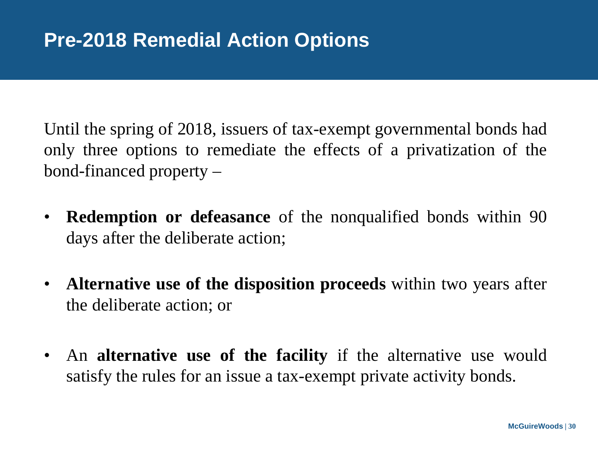Until the spring of 2018, issuers of tax-exempt governmental bonds had only three options to remediate the effects of a privatization of the bond-financed property –

- **Redemption or defeasance** of the nonqualified bonds within 90 days after the deliberate action;
- **Alternative use of the disposition proceeds** within two years after the deliberate action; or
- An **alternative use of the facility** if the alternative use would satisfy the rules for an issue a tax-exempt private activity bonds.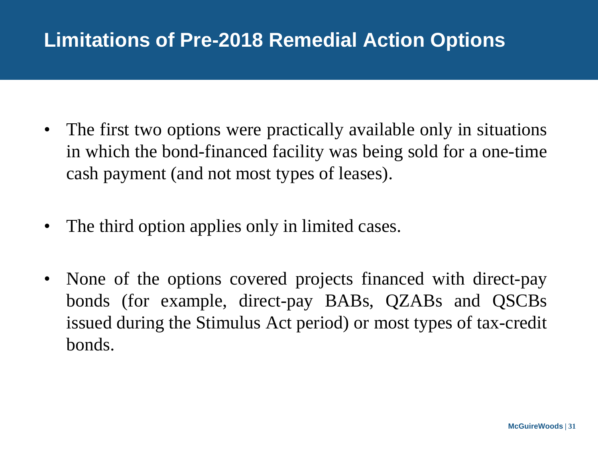# **Limitations of Pre-2018 Remedial Action Options**

- The first two options were practically available only in situations in which the bond-financed facility was being sold for a one-time cash payment (and not most types of leases).
- The third option applies only in limited cases.
- None of the options covered projects financed with direct-pay bonds (for example, direct-pay BABs, QZABs and QSCBs issued during the Stimulus Act period) or most types of tax-credit bonds.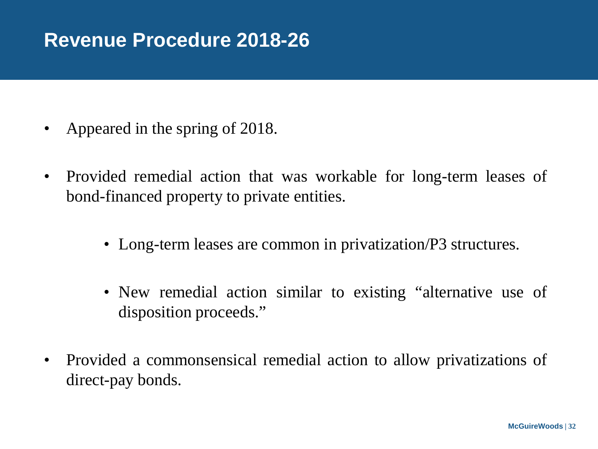### **Revenue Procedure 2018-26**

- Appeared in the spring of 2018.
- Provided remedial action that was workable for long-term leases of bond-financed property to private entities.
	- Long-term leases are common in privatization/P3 structures.
	- New remedial action similar to existing "alternative use of disposition proceeds."
- Provided a commonsensical remedial action to allow privatizations of direct-pay bonds.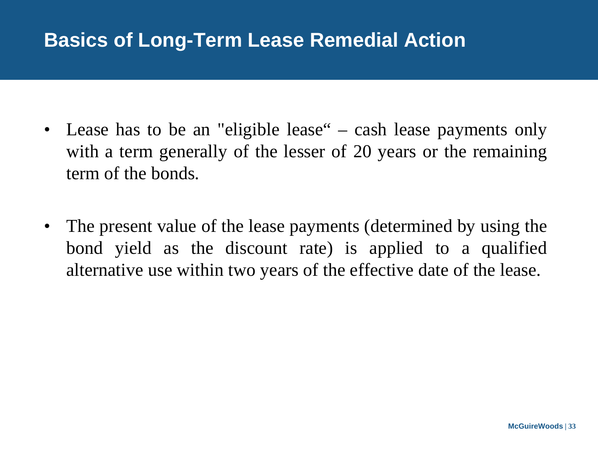#### **Basics of Long-Term Lease Remedial Action**

- Lease has to be an "eligible lease" cash lease payments only with a term generally of the lesser of 20 years or the remaining term of the bonds.
- The present value of the lease payments (determined by using the bond yield as the discount rate) is applied to a qualified alternative use within two years of the effective date of the lease.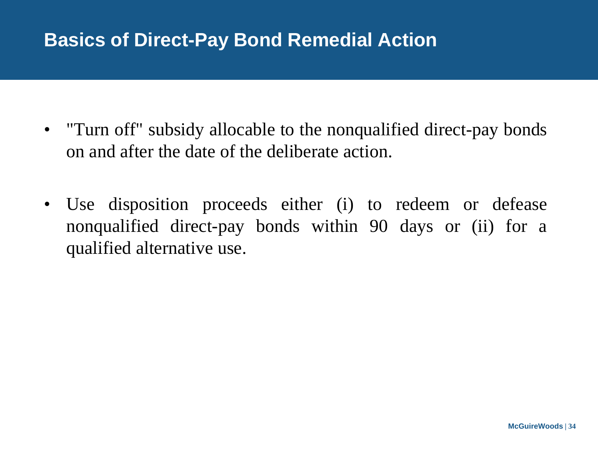#### **Basics of Direct-Pay Bond Remedial Action**

- "Turn off" subsidy allocable to the nonqualified direct-pay bonds on and after the date of the deliberate action.
- Use disposition proceeds either (i) to redeem or defease nonqualified direct-pay bonds within 90 days or (ii) for a qualified alternative use.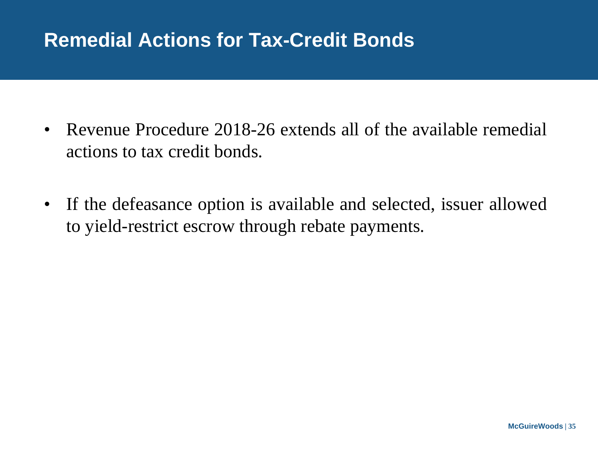### **Remedial Actions for Tax-Credit Bonds**

- Revenue Procedure 2018-26 extends all of the available remedial actions to tax credit bonds.
- If the defeasance option is available and selected, issuer allowed to yield-restrict escrow through rebate payments.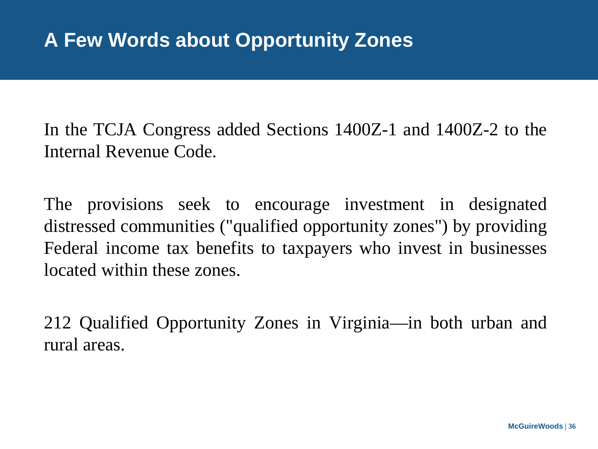In the TCJA Congress added Sections 1400Z-1 and 1400Z-2 to the Internal Revenue Code.

The provisions seek to encourage investment in designated distressed communities ("qualified opportunity zones") by providing Federal income tax benefits to taxpayers who invest in businesses located within these zones.

212 Qualified Opportunity Zones in Virginia—in both urban and rural areas.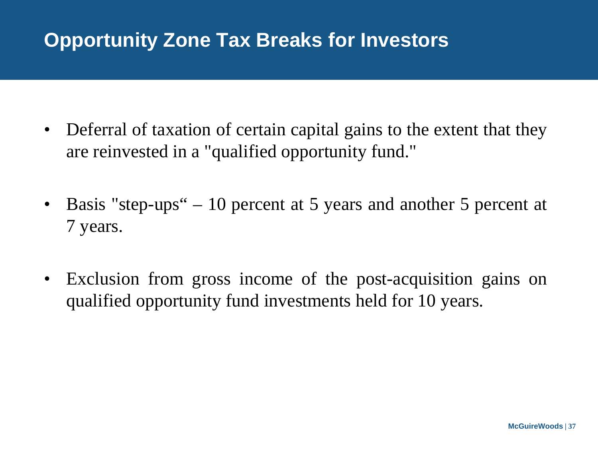# **Opportunity Zone Tax Breaks for Investors**

- Deferral of taxation of certain capital gains to the extent that they are reinvested in a "qualified opportunity fund."
- Basis "step-ups" 10 percent at 5 years and another 5 percent at 7 years.
- Exclusion from gross income of the post-acquisition gains on qualified opportunity fund investments held for 10 years.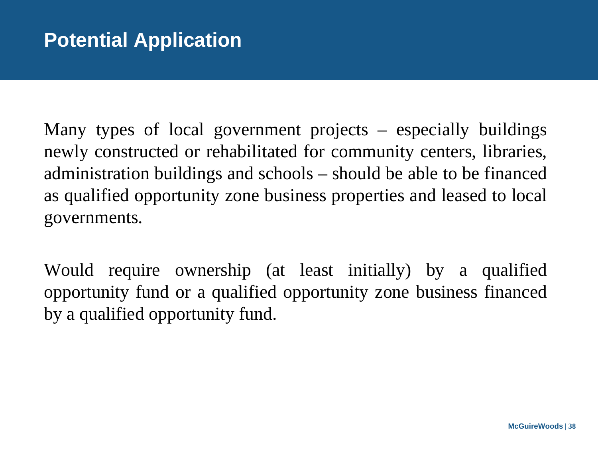Many types of local government projects – especially buildings newly constructed or rehabilitated for community centers, libraries, administration buildings and schools – should be able to be financed as qualified opportunity zone business properties and leased to local governments.

Would require ownership (at least initially) by a qualified opportunity fund or a qualified opportunity zone business financed by a qualified opportunity fund.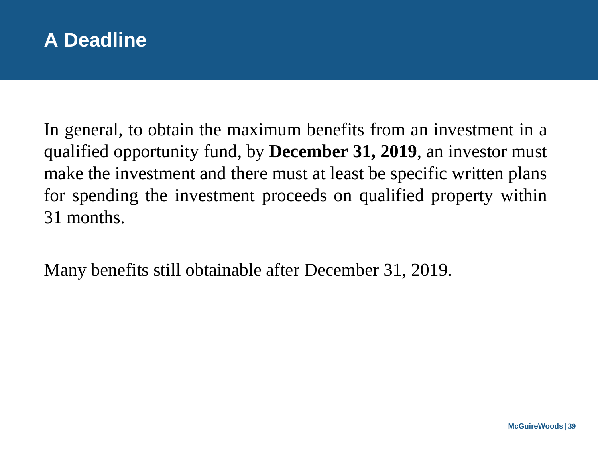

In general, to obtain the maximum benefits from an investment in a qualified opportunity fund, by **December 31, 2019**, an investor must make the investment and there must at least be specific written plans for spending the investment proceeds on qualified property within 31 months.

Many benefits still obtainable after December 31, 2019.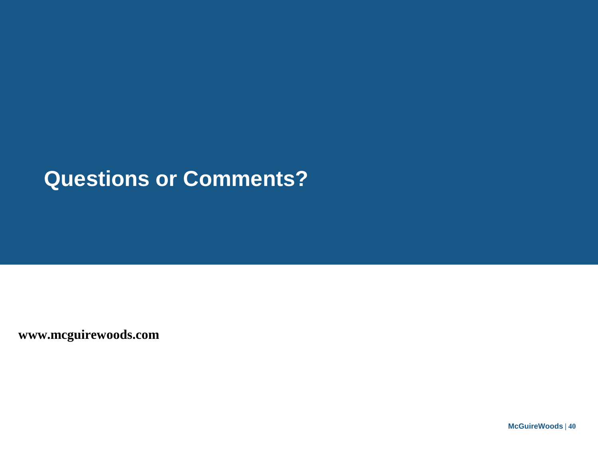# **Questions or Comments?**

**www.mcguirewoods.com**